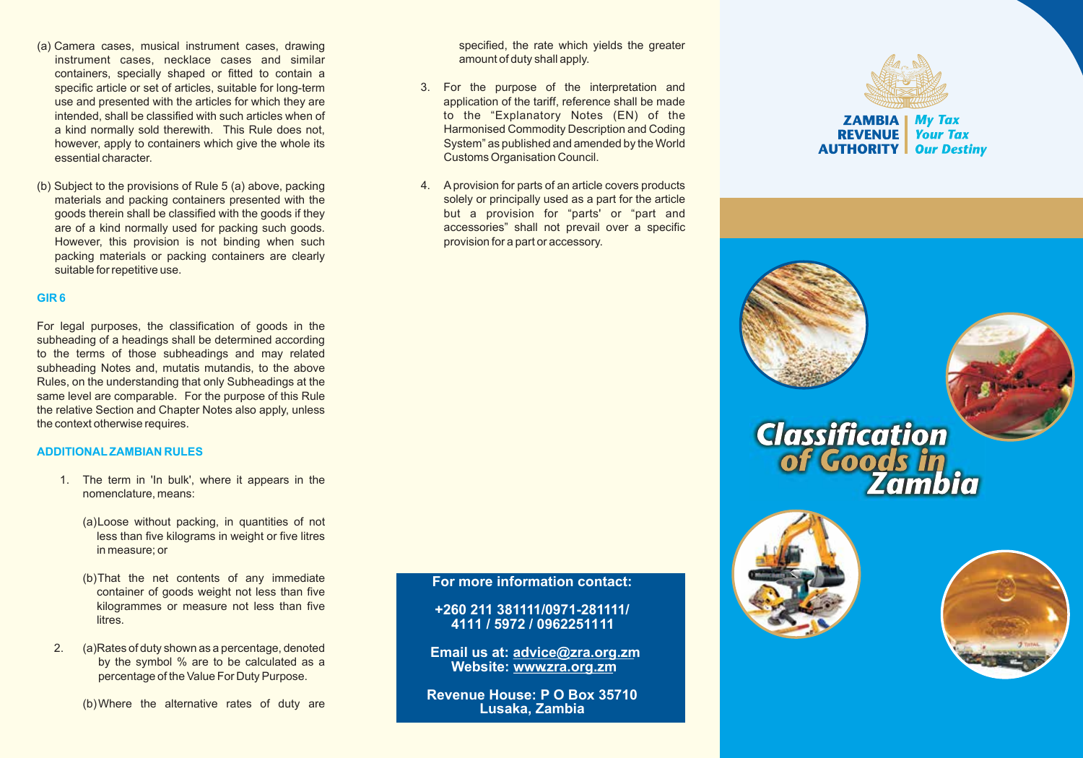- (a) Camera cases, musical instrument cases, drawing instrument cases, necklace cases and similar containers, specially shaped or fitted to contain a specific article or set of articles, suitable for long-term use and presented with the articles for which they are intended, shall be classified with such articles when of a kind normally sold therewith. This Rule does not, however, apply to containers which give the whole its essential character.
- (b) Subject to the provisions of Rule 5 (a) above, packing materials and packing containers presented with the goods therein shall be classified with the goods if they are of a kind normally used for packing such goods. However, this provision is not binding when such packing materials or packing containers are clearly suitable for repetitive use.

### **GIR 6**

For legal purposes, the classification of goods in the subheading of a headings shall be determined according to the terms of those subheadings and may related subheading Notes and, mutatis mutandis, to the above Rules, on the understanding that only Subheadings at the same level are comparable. For the purpose of this Rule the relative Section and Chapter Notes also apply, unless the context otherwise requires.

#### **ADDITIONALZAMBIAN RULES**

- 1. The term in 'In bulk', where it appears in the nomenclature, means:
	- (a)Loose without packing, in quantities of not less than five kilograms in weight or five litres in measure; or
	- (b)That the net contents of any immediate container of goods weight not less than five kilogrammes or measure not less than five litres.
- 2. (a)Rates of duty shown as a percentage, denoted by the symbol % are to be calculated as a percentage of the Value For Duty Purpose.

(b)Where the alternative rates of duty are

specified, the rate which yields the greater amount of duty shall apply.

- 3. For the purpose of the interpretation and application of the tariff, reference shall be made to the "Explanatory Notes (EN) of the Harmonised Commodity Description and Coding System" as published and amended by the World Customs Organisation Council.
- 4. Aprovision for parts of an article covers products solely or principally used as a part for the article but a provision for "parts' or "part and accessories" shall not prevail over a specific provision for a part or accessory.

**For more information contact:**

**+260 211 381111/0971-281111/ 4111 / 5972 / 0962251111**

**Email us at: advice@zra.org.zm** Website: www.zra.org.zm

**Revenue House: P O Box 35710 Lusaka, Zambia**



**ZAMBIA My Tax Your Tax REVENUE AUTHORITY** | Our Destiny